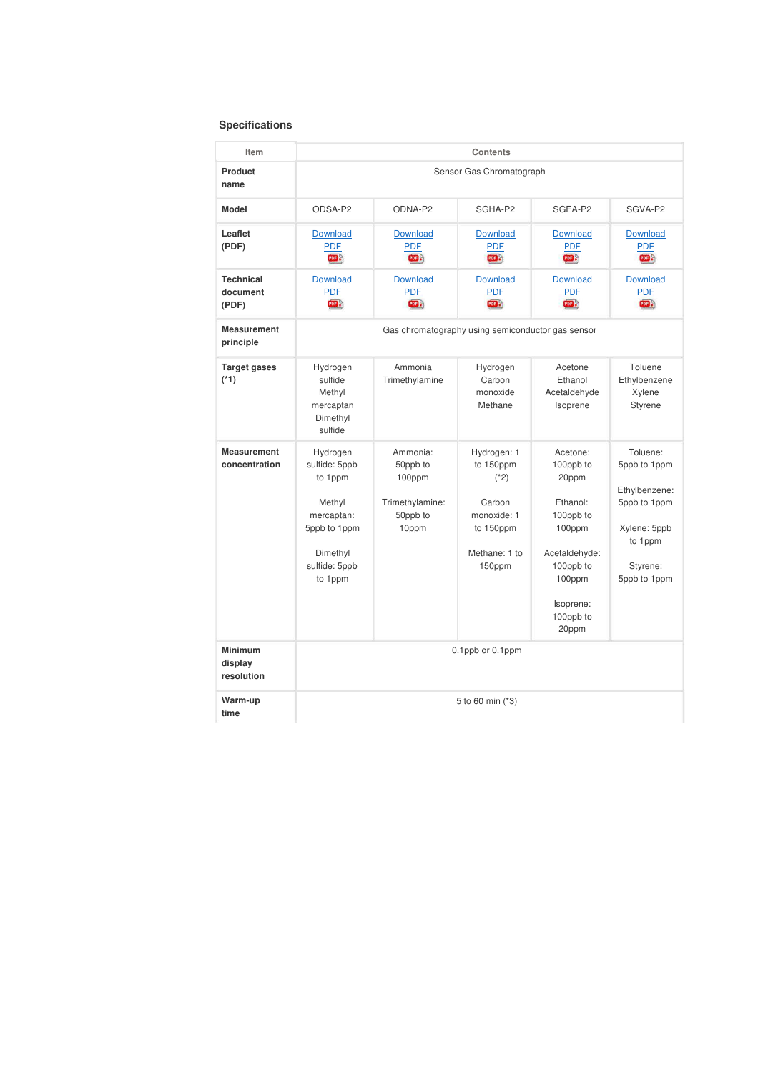## **Specifications**

| Item                                    | Contents                                                                                                             |                                                                        |                                                                                                     |                                                                                                                                              |                                                                                                                  |  |  |  |
|-----------------------------------------|----------------------------------------------------------------------------------------------------------------------|------------------------------------------------------------------------|-----------------------------------------------------------------------------------------------------|----------------------------------------------------------------------------------------------------------------------------------------------|------------------------------------------------------------------------------------------------------------------|--|--|--|
| Product<br>name                         | Sensor Gas Chromatograph                                                                                             |                                                                        |                                                                                                     |                                                                                                                                              |                                                                                                                  |  |  |  |
| <b>Model</b>                            | ODSA-P2                                                                                                              | ODNA-P2                                                                | SGHA-P2                                                                                             | SGEA-P2                                                                                                                                      | SGVA-P2                                                                                                          |  |  |  |
| Leaflet<br>(PDF)                        | <b>Download</b><br><b>PDF</b><br><b>CODE</b>                                                                         | <b>Download</b><br><b>PDF</b><br>PDF <sup>3</sup>                      | Download<br><b>PDF</b><br>四分                                                                        | <b>Download</b><br><b>PDF</b><br><b>POB</b>                                                                                                  | <b>Download</b><br><b>PDF</b><br>EBB                                                                             |  |  |  |
| <b>Technical</b><br>document<br>(PDF)   | <b>Download</b><br><b>PDF</b><br><b>COD</b>                                                                          | <b>Download</b><br><b>PDF</b><br>POF S                                 | Download<br><b>PDF</b><br><b>POER</b>                                                               | Download<br><b>PDF</b><br>PDB <sub>a</sub>                                                                                                   | <b>Download</b><br><b>PDF</b><br>PDE S                                                                           |  |  |  |
| <b>Measurement</b><br>principle         | Gas chromatography using semiconductor gas sensor                                                                    |                                                                        |                                                                                                     |                                                                                                                                              |                                                                                                                  |  |  |  |
| <b>Target gases</b><br>$(*1)$           | Hydrogen<br>sulfide<br>Methyl<br>mercaptan<br>Dimethyl<br>sulfide                                                    | Ammonia<br>Trimethylamine                                              | Hydrogen<br>Carbon<br>monoxide<br>Methane                                                           | Acetone<br>Ethanol<br>Acetaldehyde<br>Isoprene                                                                                               | Toluene<br>Ethylbenzene<br>Xylene<br><b>Styrene</b>                                                              |  |  |  |
| <b>Measurement</b><br>concentration     | Hydrogen<br>sulfide: 5ppb<br>to 1ppm<br>Methyl<br>mercaptan:<br>5ppb to 1ppm<br>Dimethyl<br>sulfide: 5ppb<br>to 1ppm | Ammonia:<br>50ppb to<br>100ppm<br>Trimethylamine:<br>50ppb to<br>10ppm | Hydrogen: 1<br>to 150ppm<br>$(*2)$<br>Carbon<br>monoxide: 1<br>to 150ppm<br>Methane: 1 to<br>150ppm | Acetone:<br>100ppb to<br>20ppm<br>Ethanol:<br>100ppb to<br>100ppm<br>Acetaldehyde:<br>100ppb to<br>100ppm<br>Isoprene:<br>100ppb to<br>20ppm | Toluene:<br>5ppb to 1ppm<br>Ethylbenzene:<br>5ppb to 1ppm<br>Xylene: 5ppb<br>to 1ppm<br>Styrene:<br>5ppb to 1ppm |  |  |  |
| <b>Minimum</b><br>display<br>resolution | 0.1ppb or 0.1ppm                                                                                                     |                                                                        |                                                                                                     |                                                                                                                                              |                                                                                                                  |  |  |  |
| Warm-up<br>time                         | 5 to 60 min (*3)                                                                                                     |                                                                        |                                                                                                     |                                                                                                                                              |                                                                                                                  |  |  |  |